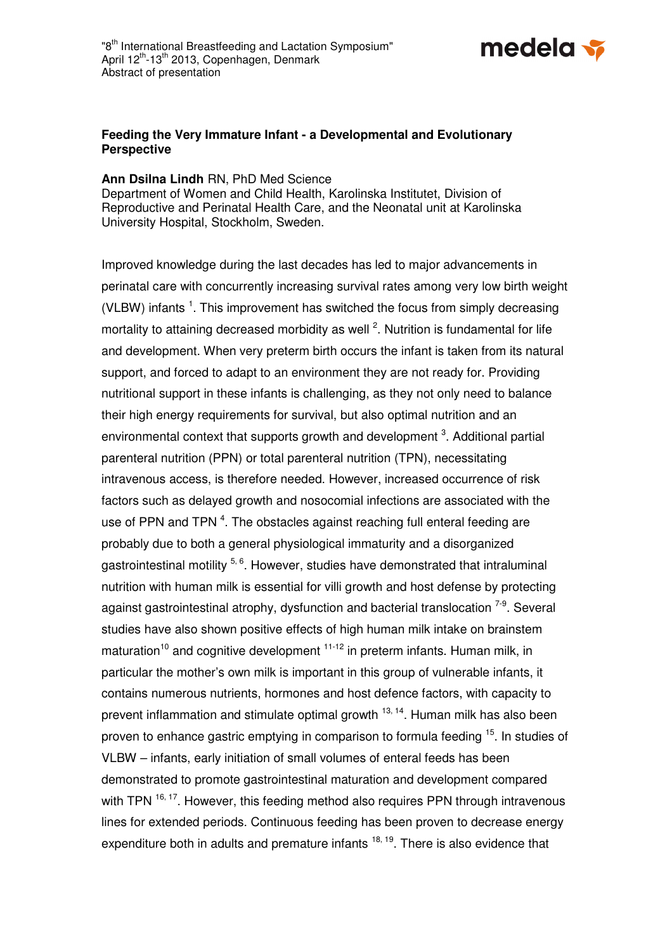

## **Feeding the Very Immature Infant - a Developmental and Evolutionary Perspective**

**Ann Dsilna Lindh** RN, PhD Med Science

Department of Women and Child Health, Karolinska Institutet, Division of Reproductive and Perinatal Health Care, and the Neonatal unit at Karolinska University Hospital, Stockholm, Sweden.

Improved knowledge during the last decades has led to major advancements in perinatal care with concurrently increasing survival rates among very low birth weight (VLBW) infants  $<sup>1</sup>$ . This improvement has switched the focus from simply decreasing</sup> mortality to attaining decreased morbidity as well  $^2$ . Nutrition is fundamental for life and development. When very preterm birth occurs the infant is taken from its natural support, and forced to adapt to an environment they are not ready for. Providing nutritional support in these infants is challenging, as they not only need to balance their high energy requirements for survival, but also optimal nutrition and an environmental context that supports growth and development  $3$ . Additional partial parenteral nutrition (PPN) or total parenteral nutrition (TPN), necessitating intravenous access, is therefore needed. However, increased occurrence of risk factors such as delayed growth and nosocomial infections are associated with the use of PPN and TPN  $^4$ . The obstacles against reaching full enteral feeding are probably due to both a general physiological immaturity and a disorganized gastrointestinal motility 5, 6. However, studies have demonstrated that intraluminal nutrition with human milk is essential for villi growth and host defense by protecting against gastrointestinal atrophy, dysfunction and bacterial translocation  $7-9$ . Several studies have also shown positive effects of high human milk intake on brainstem maturation<sup>10</sup> and cognitive development  $11-12$  in preterm infants. Human milk, in particular the mother's own milk is important in this group of vulnerable infants, it contains numerous nutrients, hormones and host defence factors, with capacity to prevent inflammation and stimulate optimal growth <sup>13, 14</sup>. Human milk has also been proven to enhance gastric emptying in comparison to formula feeding <sup>15</sup>. In studies of VLBW – infants, early initiation of small volumes of enteral feeds has been demonstrated to promote gastrointestinal maturation and development compared with TPN  $16, 17$ . However, this feeding method also requires PPN through intravenous lines for extended periods. Continuous feeding has been proven to decrease energy expenditure both in adults and premature infants  $18, 19$ . There is also evidence that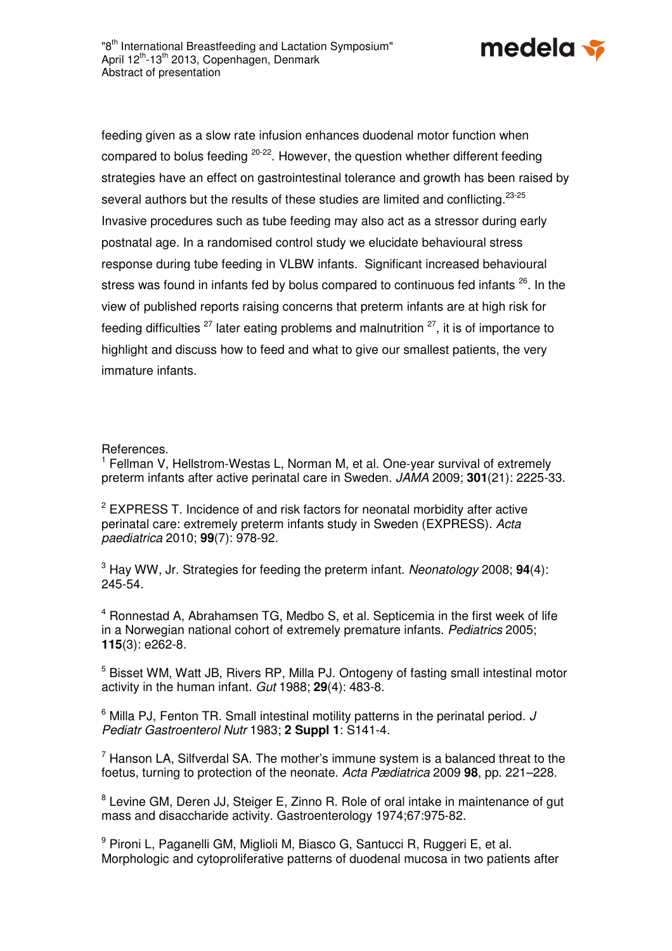

feeding given as a slow rate infusion enhances duodenal motor function when compared to bolus feeding 20-22. However, the question whether different feeding strategies have an effect on gastrointestinal tolerance and growth has been raised by several authors but the results of these studies are limited and conflicting.<sup>23-25</sup> Invasive procedures such as tube feeding may also act as a stressor during early postnatal age. In a randomised control study we elucidate behavioural stress response during tube feeding in VLBW infants. Significant increased behavioural stress was found in infants fed by bolus compared to continuous fed infants <sup>26</sup>. In the view of published reports raising concerns that preterm infants are at high risk for feeding difficulties  $27$  later eating problems and malnutrition  $27$ , it is of importance to highlight and discuss how to feed and what to give our smallest patients, the very immature infants.

References.

<sup>1</sup> Fellman V, Hellstrom-Westas L, Norman M, et al. One-year survival of extremely preterm infants after active perinatal care in Sweden. JAMA 2009; **301**(21): 2225-33.

 $2$  EXPRESS T. Incidence of and risk factors for neonatal morbidity after active perinatal care: extremely preterm infants study in Sweden (EXPRESS). Acta paediatrica 2010; **99**(7): 978-92.

3 Hay WW, Jr. Strategies for feeding the preterm infant. Neonatology 2008; **94**(4): 245-54.

<sup>4</sup> Ronnestad A, Abrahamsen TG, Medbo S, et al. Septicemia in the first week of life in a Norwegian national cohort of extremely premature infants. Pediatrics 2005; **115**(3): e262-8.

<sup>5</sup> Bisset WM, Watt JB, Rivers RP, Milla PJ. Ontogeny of fasting small intestinal motor activity in the human infant. Gut 1988; **29**(4): 483-8.

 $6$  Milla PJ, Fenton TR. Small intestinal motility patterns in the perinatal period. J Pediatr Gastroenterol Nutr 1983; **2 Suppl 1**: S141-4.

 $7$  Hanson LA, Silfverdal SA. The mother's immune system is a balanced threat to the foetus, turning to protection of the neonate. Acta Pædiatrica 2009 **98**, pp. 221–228.

<sup>8</sup> Levine GM, Deren JJ, Steiger E, Zinno R. Role of oral intake in maintenance of gut mass and disaccharide activity. Gastroenterology 1974;67:975-82.

<sup>9</sup> Pironi L, Paganelli GM, Miglioli M, Biasco G, Santucci R, Ruggeri E, et al. Morphologic and cytoproliferative patterns of duodenal mucosa in two patients after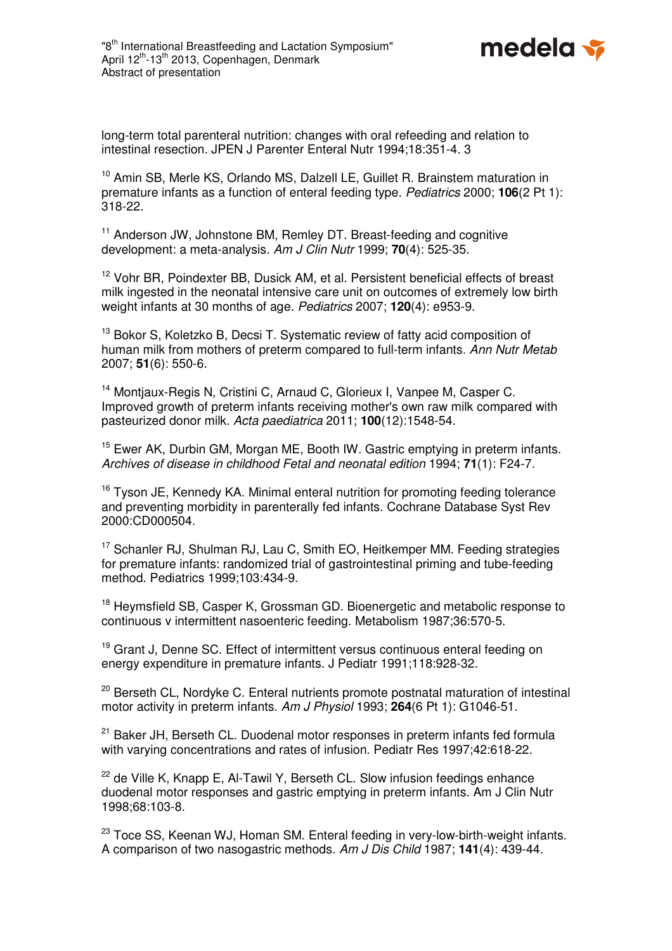

long-term total parenteral nutrition: changes with oral refeeding and relation to intestinal resection. JPEN J Parenter Enteral Nutr 1994;18:351-4. 3

<sup>10</sup> Amin SB, Merle KS, Orlando MS, Dalzell LE, Guillet R, Brainstem maturation in premature infants as a function of enteral feeding type. Pediatrics 2000; **106**(2 Pt 1): 318-22.

<sup>11</sup> Anderson JW, Johnstone BM, Remley DT. Breast-feeding and cognitive development: a meta-analysis. Am J Clin Nutr 1999; **70**(4): 525-35.

<sup>12</sup> Vohr BR, Poindexter BB, Dusick AM, et al. Persistent beneficial effects of breast milk ingested in the neonatal intensive care unit on outcomes of extremely low birth weight infants at 30 months of age. Pediatrics 2007; **120**(4): e953-9.

<sup>13</sup> Bokor S, Koletzko B, Decsi T. Systematic review of fatty acid composition of human milk from mothers of preterm compared to full-term infants. Ann Nutr Metab 2007; **51**(6): 550-6.

<sup>14</sup> Montiaux-Regis N, Cristini C, Arnaud C, Glorieux I, Vanpee M, Casper C, Improved growth of preterm infants receiving mother's own raw milk compared with pasteurized donor milk. Acta paediatrica 2011; **100**(12):1548-54.

<sup>15</sup> Ewer AK, Durbin GM, Morgan ME, Booth IW. Gastric emptying in preterm infants. Archives of disease in childhood Fetal and neonatal edition 1994; **71**(1): F24-7.

<sup>16</sup> Tyson JE, Kennedy KA. Minimal enteral nutrition for promoting feeding tolerance and preventing morbidity in parenterally fed infants. Cochrane Database Syst Rev 2000:CD000504.

<sup>17</sup> Schanler RJ, Shulman RJ, Lau C, Smith EO, Heitkemper MM. Feeding strategies for premature infants: randomized trial of gastrointestinal priming and tube-feeding method. Pediatrics 1999;103:434-9.

<sup>18</sup> Heymsfield SB, Casper K, Grossman GD. Bioenergetic and metabolic response to continuous v intermittent nasoenteric feeding. Metabolism 1987;36:570-5.

<sup>19</sup> Grant J, Denne SC. Effect of intermittent versus continuous enteral feeding on energy expenditure in premature infants. J Pediatr 1991;118:928-32.

<sup>20</sup> Berseth CL, Nordyke C. Enteral nutrients promote postnatal maturation of intestinal motor activity in preterm infants. Am J Physiol 1993; **264**(6 Pt 1): G1046-51.

<sup>21</sup> Baker JH, Berseth CL, Duodenal motor responses in preterm infants fed formula with varying concentrations and rates of infusion. Pediatr Res 1997;42:618-22.

 $22$  de Ville K, Knapp E, Al-Tawil Y, Berseth CL. Slow infusion feedings enhance duodenal motor responses and gastric emptying in preterm infants. Am J Clin Nutr 1998;68:103-8.

<sup>23</sup> Toce SS, Keenan WJ, Homan SM, Enteral feeding in very-low-birth-weight infants. A comparison of two nasogastric methods. Am J Dis Child 1987; **141**(4): 439-44.